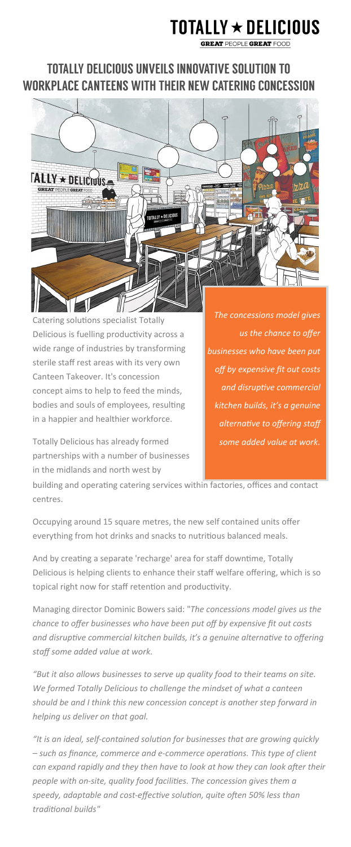## **TOTALLY**  $\star$  **DELICIOUS**

**GREAT PEOPLE GREAT FOOD** 

## **TOTALLY DELICIOUS UNVEILS INNOVATIVE SOLUTION TO** WORKPLACE CANTEENS WITH THEIR NEW CATERING CONCESSION



Catering solutions specialist Totally Delicious is fuelling productivity across a wide range of industries by transforming sterile staff rest areas with its very own Canteen Takeover. It's concession concept aims to help to feed the minds, bodies and souls of employees, resulting in a happier and healthier workforce.

*The concessions model gives us the chance to offer businesses who have been put off by expensive fit out costs and disruptive commercial kitchen builds, it's a genuine alternative to offering staff some added value at work.*

Totally Delicious has already formed partnerships with a number of businesses in the midlands and north west by

building and operating catering services within factories, offices and contact centres.

Occupying around 15 square metres, the new self contained units offer everything from hot drinks and snacks to nutritious balanced meals.

And by creating a separate 'recharge' area for staff downtime, Totally Delicious is helping clients to enhance their staff welfare offering, which is so topical right now for staff retention and productivity.

Managing director Dominic Bowers said: "*The concessions model gives us the chance to offer businesses who have been put off by expensive fit out costs and disruptive commercial kitchen builds, it's a genuine alternative to offering staff some added value at work.* 

*"But it also allows businesses to serve up quality food to their teams on site. We formed Totally Delicious to challenge the mindset of what a canteen should be and I think this new concession concept is another step forward in helping us deliver on that goal.*

*"It is an ideal, self-contained solution for businesses that are growing quickly – such as finance, commerce and e-commerce operations. This type of client can expand rapidly and they then have to look at how they can look after their people with on-site, quality food facilities. The concession gives them a speedy, adaptable and cost-effective solution, quite often 50% less than traditional builds"*